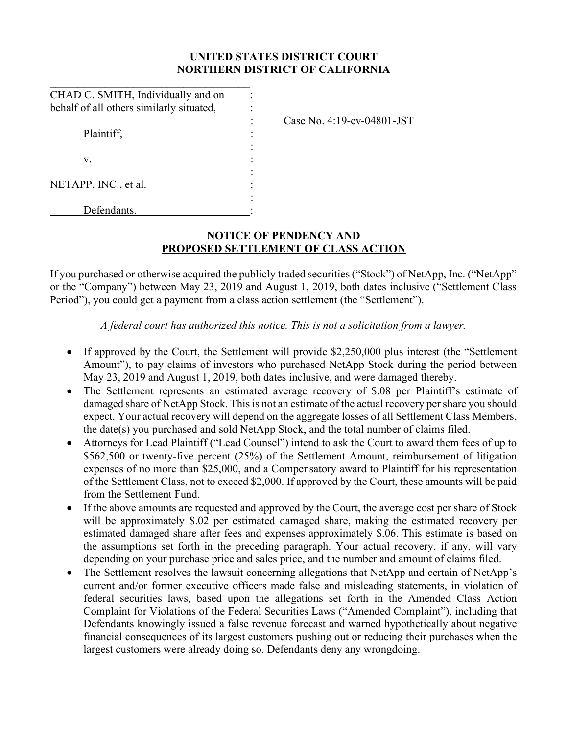## UNITED STATES DISTRICT COURT NORTHERN DISTRICT OF CALIFORNIA

| CHAD C. SMITH, Individually and on       |                            |
|------------------------------------------|----------------------------|
| behalf of all others similarly situated, |                            |
|                                          | Case No. 4:19-cv-04801-JST |
| Plaintiff,                               |                            |
|                                          |                            |
| v.                                       |                            |
|                                          |                            |
| NETAPP, INC., et al.                     |                            |
|                                          |                            |
| Defendants.                              |                            |

# NOTICE OF PENDENCY AND PROPOSED SETTLEMENT OF CLASS ACTION

If you purchased or otherwise acquired the publicly traded securities ("Stock") of NetApp, Inc. ("NetApp" or the "Company") between May 23, 2019 and August 1, 2019, both dates inclusive ("Settlement Class Period"), you could get a payment from a class action settlement (the "Settlement").

### A federal court has authorized this notice. This is not a solicitation from a lawyer.

- If approved by the Court, the Settlement will provide \$2,250,000 plus interest (the "Settlement Amount"), to pay claims of investors who purchased NetApp Stock during the period between May 23, 2019 and August 1, 2019, both dates inclusive, and were damaged thereby.
- The Settlement represents an estimated average recovery of \$.08 per Plaintiff's estimate of damaged share of NetApp Stock. This is not an estimate of the actual recovery per share you should expect. Your actual recovery will depend on the aggregate losses of all Settlement Class Members, the date(s) you purchased and sold NetApp Stock, and the total number of claims filed.
- Attorneys for Lead Plaintiff ("Lead Counsel") intend to ask the Court to award them fees of up to \$562,500 or twenty-five percent (25%) of the Settlement Amount, reimbursement of litigation expenses of no more than \$25,000, and a Compensatory award to Plaintiff for his representation of the Settlement Class, not to exceed \$2,000. If approved by the Court, these amounts will be paid from the Settlement Fund.
- If the above amounts are requested and approved by the Court, the average cost per share of Stock will be approximately \$.02 per estimated damaged share, making the estimated recovery per estimated damaged share after fees and expenses approximately \$.06. This estimate is based on the assumptions set forth in the preceding paragraph. Your actual recovery, if any, will vary depending on your purchase price and sales price, and the number and amount of claims filed.
- The Settlement resolves the lawsuit concerning allegations that NetApp and certain of NetApp's current and/or former executive officers made false and misleading statements, in violation of federal securities laws, based upon the allegations set forth in the Amended Class Action Complaint for Violations of the Federal Securities Laws ("Amended Complaint"), including that Defendants knowingly issued a false revenue forecast and warned hypothetically about negative financial consequences of its largest customers pushing out or reducing their purchases when the largest customers were already doing so. Defendants deny any wrongdoing.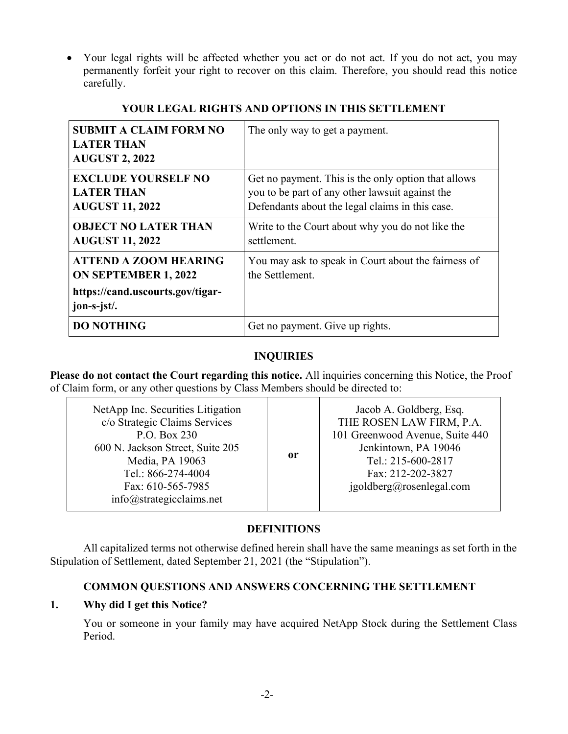Your legal rights will be affected whether you act or do not act. If you do not act, you may permanently forfeit your right to recover on this claim. Therefore, you should read this notice carefully.

| <b>SUBMIT A CLAIM FORM NO</b><br><b>LATER THAN</b><br><b>AUGUST 2, 2022</b>                                    | The only way to get a payment.                                                                                                                            |
|----------------------------------------------------------------------------------------------------------------|-----------------------------------------------------------------------------------------------------------------------------------------------------------|
| <b>EXCLUDE YOURSELF NO</b><br><b>LATER THAN</b><br><b>AUGUST 11, 2022</b>                                      | Get no payment. This is the only option that allows<br>you to be part of any other lawsuit against the<br>Defendants about the legal claims in this case. |
| <b>OBJECT NO LATER THAN</b><br><b>AUGUST 11, 2022</b>                                                          | Write to the Court about why you do not like the<br>settlement.                                                                                           |
| <b>ATTEND A ZOOM HEARING</b><br><b>ON SEPTEMBER 1, 2022</b><br>https://cand.uscourts.gov/tigar-<br>jon-s-jst/. | You may ask to speak in Court about the fairness of<br>the Settlement.                                                                                    |
| <b>DO NOTHING</b>                                                                                              | Get no payment. Give up rights.                                                                                                                           |

#### YOUR LEGAL RIGHTS AND OPTIONS IN THIS SETTLEMENT

## INQUIRIES

Please do not contact the Court regarding this notice. All inquiries concerning this Notice, the Proof of Claim form, or any other questions by Class Members should be directed to:

| NetApp Inc. Securities Litigation<br>c/o Strategic Claims Services<br>P.O. Box 230<br>600 N. Jackson Street, Suite 205<br>Media, PA 19063<br>Tel.: 866-274-4004<br>Fax: 610-565-7985<br>info@strategies claims.net | or | Jacob A. Goldberg, Esq.<br>THE ROSEN LAW FIRM, P.A.<br>101 Greenwood Avenue, Suite 440<br>Jenkintown, PA 19046<br>Tel.: 215-600-2817<br>Fax: 212-202-3827<br>igoldberg@rosenlegal.com |
|--------------------------------------------------------------------------------------------------------------------------------------------------------------------------------------------------------------------|----|---------------------------------------------------------------------------------------------------------------------------------------------------------------------------------------|
|--------------------------------------------------------------------------------------------------------------------------------------------------------------------------------------------------------------------|----|---------------------------------------------------------------------------------------------------------------------------------------------------------------------------------------|

## DEFINITIONS

All capitalized terms not otherwise defined herein shall have the same meanings as set forth in the Stipulation of Settlement, dated September 21, 2021 (the "Stipulation").

# COMMON QUESTIONS AND ANSWERS CONCERNING THE SETTLEMENT

## 1. Why did I get this Notice?

You or someone in your family may have acquired NetApp Stock during the Settlement Class Period.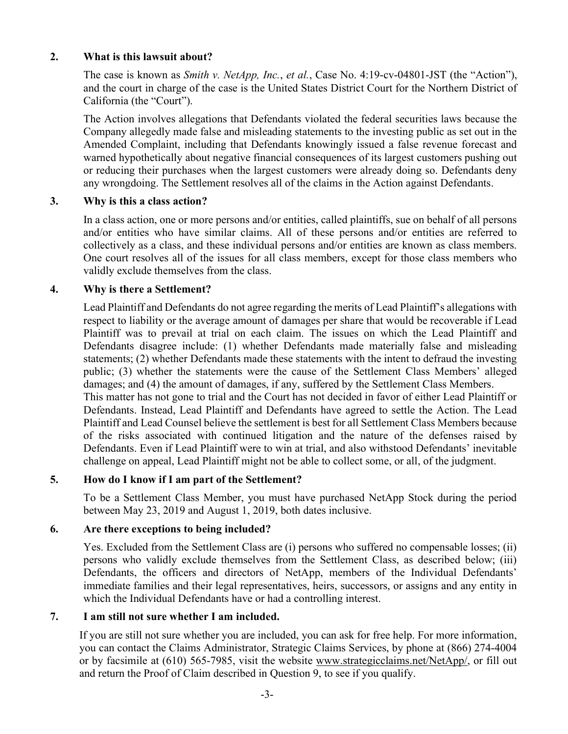### 2. What is this lawsuit about?

The case is known as Smith v. NetApp, Inc., et al., Case No. 4:19-cv-04801-JST (the "Action"), and the court in charge of the case is the United States District Court for the Northern District of California (the "Court").

The Action involves allegations that Defendants violated the federal securities laws because the Company allegedly made false and misleading statements to the investing public as set out in the Amended Complaint, including that Defendants knowingly issued a false revenue forecast and warned hypothetically about negative financial consequences of its largest customers pushing out or reducing their purchases when the largest customers were already doing so. Defendants deny any wrongdoing. The Settlement resolves all of the claims in the Action against Defendants.

### 3. Why is this a class action?

In a class action, one or more persons and/or entities, called plaintiffs, sue on behalf of all persons and/or entities who have similar claims. All of these persons and/or entities are referred to collectively as a class, and these individual persons and/or entities are known as class members. One court resolves all of the issues for all class members, except for those class members who validly exclude themselves from the class.

### 4. Why is there a Settlement?

Lead Plaintiff and Defendants do not agree regarding the merits of Lead Plaintiff's allegations with respect to liability or the average amount of damages per share that would be recoverable if Lead Plaintiff was to prevail at trial on each claim. The issues on which the Lead Plaintiff and Defendants disagree include: (1) whether Defendants made materially false and misleading statements; (2) whether Defendants made these statements with the intent to defraud the investing public; (3) whether the statements were the cause of the Settlement Class Members' alleged damages; and (4) the amount of damages, if any, suffered by the Settlement Class Members. This matter has not gone to trial and the Court has not decided in favor of either Lead Plaintiff or Defendants. Instead, Lead Plaintiff and Defendants have agreed to settle the Action. The Lead Plaintiff and Lead Counsel believe the settlement is best for all Settlement Class Members because of the risks associated with continued litigation and the nature of the defenses raised by Defendants. Even if Lead Plaintiff were to win at trial, and also withstood Defendants' inevitable challenge on appeal, Lead Plaintiff might not be able to collect some, or all, of the judgment.

## 5. How do I know if I am part of the Settlement?

To be a Settlement Class Member, you must have purchased NetApp Stock during the period between May 23, 2019 and August 1, 2019, both dates inclusive.

#### 6. Are there exceptions to being included?

Yes. Excluded from the Settlement Class are (i) persons who suffered no compensable losses; (ii) persons who validly exclude themselves from the Settlement Class, as described below; (iii) Defendants, the officers and directors of NetApp, members of the Individual Defendants' immediate families and their legal representatives, heirs, successors, or assigns and any entity in which the Individual Defendants have or had a controlling interest.

## 7. I am still not sure whether I am included.

If you are still not sure whether you are included, you can ask for free help. For more information, you can contact the Claims Administrator, Strategic Claims Services, by phone at (866) 274-4004 or by facsimile at (610) 565-7985, visit the website www.strategicclaims.net/NetApp/, or fill out and return the Proof of Claim described in Question 9, to see if you qualify.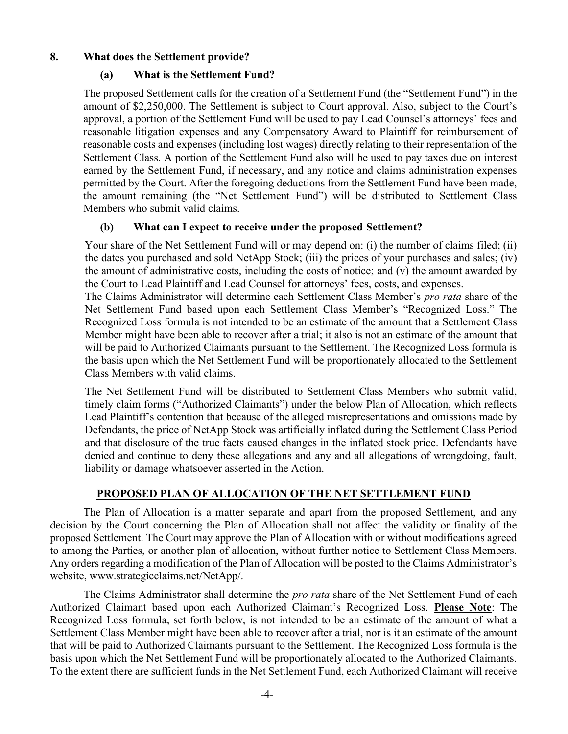### 8. What does the Settlement provide?

### (a) What is the Settlement Fund?

The proposed Settlement calls for the creation of a Settlement Fund (the "Settlement Fund") in the amount of \$2,250,000. The Settlement is subject to Court approval. Also, subject to the Court's approval, a portion of the Settlement Fund will be used to pay Lead Counsel's attorneys' fees and reasonable litigation expenses and any Compensatory Award to Plaintiff for reimbursement of reasonable costs and expenses (including lost wages) directly relating to their representation of the Settlement Class. A portion of the Settlement Fund also will be used to pay taxes due on interest earned by the Settlement Fund, if necessary, and any notice and claims administration expenses permitted by the Court. After the foregoing deductions from the Settlement Fund have been made, the amount remaining (the "Net Settlement Fund") will be distributed to Settlement Class Members who submit valid claims.

## (b) What can I expect to receive under the proposed Settlement?

Your share of the Net Settlement Fund will or may depend on: (i) the number of claims filed; (ii) the dates you purchased and sold NetApp Stock; (iii) the prices of your purchases and sales; (iv) the amount of administrative costs, including the costs of notice; and (v) the amount awarded by the Court to Lead Plaintiff and Lead Counsel for attorneys' fees, costs, and expenses.

The Claims Administrator will determine each Settlement Class Member's *pro rata* share of the Net Settlement Fund based upon each Settlement Class Member's "Recognized Loss." The Recognized Loss formula is not intended to be an estimate of the amount that a Settlement Class Member might have been able to recover after a trial; it also is not an estimate of the amount that will be paid to Authorized Claimants pursuant to the Settlement. The Recognized Loss formula is the basis upon which the Net Settlement Fund will be proportionately allocated to the Settlement Class Members with valid claims.

The Net Settlement Fund will be distributed to Settlement Class Members who submit valid, timely claim forms ("Authorized Claimants") under the below Plan of Allocation, which reflects Lead Plaintiff's contention that because of the alleged misrepresentations and omissions made by Defendants, the price of NetApp Stock was artificially inflated during the Settlement Class Period and that disclosure of the true facts caused changes in the inflated stock price. Defendants have denied and continue to deny these allegations and any and all allegations of wrongdoing, fault, liability or damage whatsoever asserted in the Action.

## PROPOSED PLAN OF ALLOCATION OF THE NET SETTLEMENT FUND

The Plan of Allocation is a matter separate and apart from the proposed Settlement, and any decision by the Court concerning the Plan of Allocation shall not affect the validity or finality of the proposed Settlement. The Court may approve the Plan of Allocation with or without modifications agreed to among the Parties, or another plan of allocation, without further notice to Settlement Class Members. Any orders regarding a modification of the Plan of Allocation will be posted to the Claims Administrator's website, www.strategicclaims.net/NetApp/.

The Claims Administrator shall determine the *pro rata* share of the Net Settlement Fund of each Authorized Claimant based upon each Authorized Claimant's Recognized Loss. Please Note: The Recognized Loss formula, set forth below, is not intended to be an estimate of the amount of what a Settlement Class Member might have been able to recover after a trial, nor is it an estimate of the amount that will be paid to Authorized Claimants pursuant to the Settlement. The Recognized Loss formula is the basis upon which the Net Settlement Fund will be proportionately allocated to the Authorized Claimants. To the extent there are sufficient funds in the Net Settlement Fund, each Authorized Claimant will receive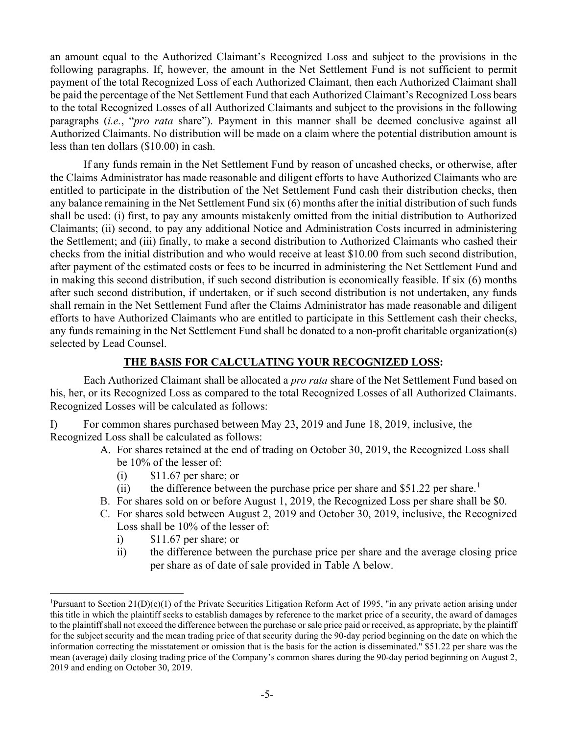an amount equal to the Authorized Claimant's Recognized Loss and subject to the provisions in the following paragraphs. If, however, the amount in the Net Settlement Fund is not sufficient to permit payment of the total Recognized Loss of each Authorized Claimant, then each Authorized Claimant shall be paid the percentage of the Net Settlement Fund that each Authorized Claimant's Recognized Loss bears to the total Recognized Losses of all Authorized Claimants and subject to the provisions in the following paragraphs (i.e., "pro rata share"). Payment in this manner shall be deemed conclusive against all Authorized Claimants. No distribution will be made on a claim where the potential distribution amount is less than ten dollars (\$10.00) in cash.

If any funds remain in the Net Settlement Fund by reason of uncashed checks, or otherwise, after the Claims Administrator has made reasonable and diligent efforts to have Authorized Claimants who are entitled to participate in the distribution of the Net Settlement Fund cash their distribution checks, then any balance remaining in the Net Settlement Fund six (6) months after the initial distribution of such funds shall be used: (i) first, to pay any amounts mistakenly omitted from the initial distribution to Authorized Claimants; (ii) second, to pay any additional Notice and Administration Costs incurred in administering the Settlement; and (iii) finally, to make a second distribution to Authorized Claimants who cashed their checks from the initial distribution and who would receive at least \$10.00 from such second distribution, after payment of the estimated costs or fees to be incurred in administering the Net Settlement Fund and in making this second distribution, if such second distribution is economically feasible. If six (6) months after such second distribution, if undertaken, or if such second distribution is not undertaken, any funds shall remain in the Net Settlement Fund after the Claims Administrator has made reasonable and diligent efforts to have Authorized Claimants who are entitled to participate in this Settlement cash their checks, any funds remaining in the Net Settlement Fund shall be donated to a non-profit charitable organization(s) selected by Lead Counsel.

#### THE BASIS FOR CALCULATING YOUR RECOGNIZED LOSS:

 Each Authorized Claimant shall be allocated a pro rata share of the Net Settlement Fund based on his, her, or its Recognized Loss as compared to the total Recognized Losses of all Authorized Claimants. Recognized Losses will be calculated as follows:

I) For common shares purchased between May 23, 2019 and June 18, 2019, inclusive, the Recognized Loss shall be calculated as follows:

- A. For shares retained at the end of trading on October 30, 2019, the Recognized Loss shall be 10% of the lesser of:
	- $(i)$  \$11.67 per share; or
	- (ii) the difference between the purchase price per share and  $$51.22$  per share.<sup>1</sup>
- B. For shares sold on or before August 1, 2019, the Recognized Loss per share shall be \$0.
- C. For shares sold between August 2, 2019 and October 30, 2019, inclusive, the Recognized Loss shall be 10% of the lesser of:
	- i) \$11.67 per share; or
	- ii) the difference between the purchase price per share and the average closing price per share as of date of sale provided in Table A below.

<sup>&</sup>lt;sup>1</sup>Pursuant to Section 21(D)(e)(1) of the Private Securities Litigation Reform Act of 1995, "in any private action arising under this title in which the plaintiff seeks to establish damages by reference to the market price of a security, the award of damages to the plaintiff shall not exceed the difference between the purchase or sale price paid or received, as appropriate, by the plaintiff for the subject security and the mean trading price of that security during the 90-day period beginning on the date on which the information correcting the misstatement or omission that is the basis for the action is disseminated." \$51.22 per share was the mean (average) daily closing trading price of the Company's common shares during the 90-day period beginning on August 2, 2019 and ending on October 30, 2019.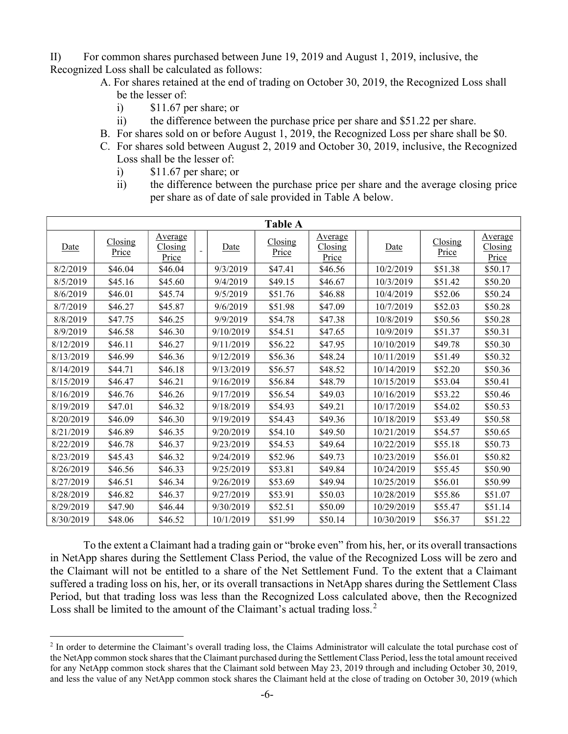II) For common shares purchased between June 19, 2019 and August 1, 2019, inclusive, the Recognized Loss shall be calculated as follows:

- A. For shares retained at the end of trading on October 30, 2019, the Recognized Loss shall be the lesser of:
	- i) \$11.67 per share; or
	- ii) the difference between the purchase price per share and \$51.22 per share.
- B. For shares sold on or before August 1, 2019, the Recognized Loss per share shall be \$0.
- C. For shares sold between August 2, 2019 and October 30, 2019, inclusive, the Recognized Loss shall be the lesser of:
	- i) \$11.67 per share; or
	- ii) the difference between the purchase price per share and the average closing price per share as of date of sale provided in Table A below.

| <b>Table A</b> |                  |                             |  |           |                  |                                    |  |            |                  |                                    |
|----------------|------------------|-----------------------------|--|-----------|------------------|------------------------------------|--|------------|------------------|------------------------------------|
| Date           | Closing<br>Price | Average<br>Closing<br>Price |  | Date      | Closing<br>Price | <u>Average</u><br>Closing<br>Price |  | Date       | Closing<br>Price | <u>Average</u><br>Closing<br>Price |
| 8/2/2019       | \$46.04          | \$46.04                     |  | 9/3/2019  | \$47.41          | \$46.56                            |  | 10/2/2019  | \$51.38          | \$50.17                            |
| 8/5/2019       | \$45.16          | \$45.60                     |  | 9/4/2019  | \$49.15          | \$46.67                            |  | 10/3/2019  | \$51.42          | \$50.20                            |
| 8/6/2019       | \$46.01          | \$45.74                     |  | 9/5/2019  | \$51.76          | \$46.88                            |  | 10/4/2019  | \$52.06          | \$50.24                            |
| 8/7/2019       | \$46.27          | \$45.87                     |  | 9/6/2019  | \$51.98          | \$47.09                            |  | 10/7/2019  | \$52.03          | \$50.28                            |
| 8/8/2019       | \$47.75          | \$46.25                     |  | 9/9/2019  | \$54.78          | \$47.38                            |  | 10/8/2019  | \$50.56          | \$50.28                            |
| 8/9/2019       | \$46.58          | \$46.30                     |  | 9/10/2019 | \$54.51          | \$47.65                            |  | 10/9/2019  | \$51.37          | \$50.31                            |
| 8/12/2019      | \$46.11          | \$46.27                     |  | 9/11/2019 | \$56.22          | \$47.95                            |  | 10/10/2019 | \$49.78          | \$50.30                            |
| 8/13/2019      | \$46.99          | \$46.36                     |  | 9/12/2019 | \$56.36          | \$48.24                            |  | 10/11/2019 | \$51.49          | \$50.32                            |
| 8/14/2019      | \$44.71          | \$46.18                     |  | 9/13/2019 | \$56.57          | \$48.52                            |  | 10/14/2019 | \$52.20          | \$50.36                            |
| 8/15/2019      | \$46.47          | \$46.21                     |  | 9/16/2019 | \$56.84          | \$48.79                            |  | 10/15/2019 | \$53.04          | \$50.41                            |
| 8/16/2019      | \$46.76          | \$46.26                     |  | 9/17/2019 | \$56.54          | \$49.03                            |  | 10/16/2019 | \$53.22          | \$50.46                            |
| 8/19/2019      | \$47.01          | \$46.32                     |  | 9/18/2019 | \$54.93          | \$49.21                            |  | 10/17/2019 | \$54.02          | \$50.53                            |
| 8/20/2019      | \$46.09          | \$46.30                     |  | 9/19/2019 | \$54.43          | \$49.36                            |  | 10/18/2019 | \$53.49          | \$50.58                            |
| 8/21/2019      | \$46.89          | \$46.35                     |  | 9/20/2019 | \$54.10          | \$49.50                            |  | 10/21/2019 | \$54.57          | \$50.65                            |
| 8/22/2019      | \$46.78          | \$46.37                     |  | 9/23/2019 | \$54.53          | \$49.64                            |  | 10/22/2019 | \$55.18          | \$50.73                            |
| 8/23/2019      | \$45.43          | \$46.32                     |  | 9/24/2019 | \$52.96          | \$49.73                            |  | 10/23/2019 | \$56.01          | \$50.82                            |
| 8/26/2019      | \$46.56          | \$46.33                     |  | 9/25/2019 | \$53.81          | \$49.84                            |  | 10/24/2019 | \$55.45          | \$50.90                            |
| 8/27/2019      | \$46.51          | \$46.34                     |  | 9/26/2019 | \$53.69          | \$49.94                            |  | 10/25/2019 | \$56.01          | \$50.99                            |
| 8/28/2019      | \$46.82          | \$46.37                     |  | 9/27/2019 | \$53.91          | \$50.03                            |  | 10/28/2019 | \$55.86          | \$51.07                            |
| 8/29/2019      | \$47.90          | \$46.44                     |  | 9/30/2019 | \$52.51          | \$50.09                            |  | 10/29/2019 | \$55.47          | \$51.14                            |
| 8/30/2019      | \$48.06          | \$46.52                     |  | 10/1/2019 | \$51.99          | \$50.14                            |  | 10/30/2019 | \$56.37          | \$51.22                            |

To the extent a Claimant had a trading gain or "broke even" from his, her, or its overall transactions in NetApp shares during the Settlement Class Period, the value of the Recognized Loss will be zero and the Claimant will not be entitled to a share of the Net Settlement Fund. To the extent that a Claimant suffered a trading loss on his, her, or its overall transactions in NetApp shares during the Settlement Class Period, but that trading loss was less than the Recognized Loss calculated above, then the Recognized Loss shall be limited to the amount of the Claimant's actual trading  $loss<sup>2</sup>$ 

<sup>&</sup>lt;sup>2</sup> In order to determine the Claimant's overall trading loss, the Claims Administrator will calculate the total purchase cost of the NetApp common stock shares that the Claimant purchased during the Settlement Class Period, less the total amount received for any NetApp common stock shares that the Claimant sold between May 23, 2019 through and including October 30, 2019, and less the value of any NetApp common stock shares the Claimant held at the close of trading on October 30, 2019 (which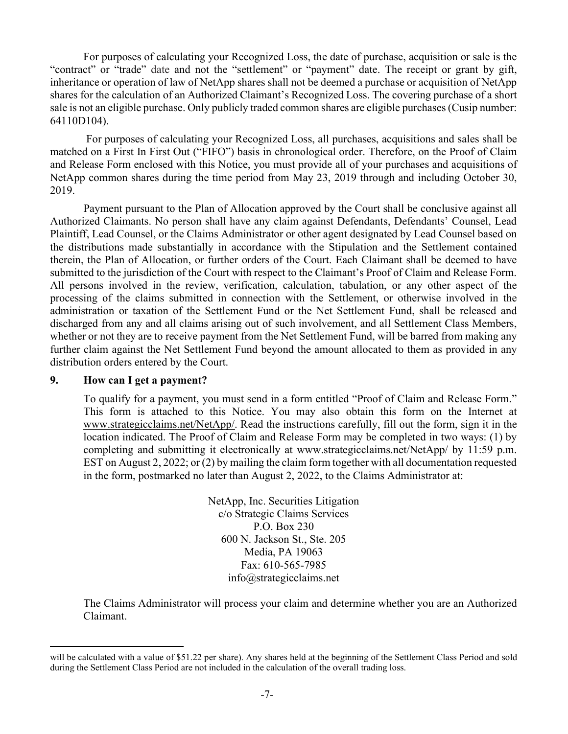For purposes of calculating your Recognized Loss, the date of purchase, acquisition or sale is the "contract" or "trade" date and not the "settlement" or "payment" date. The receipt or grant by gift, inheritance or operation of law of NetApp shares shall not be deemed a purchase or acquisition of NetApp shares for the calculation of an Authorized Claimant's Recognized Loss. The covering purchase of a short sale is not an eligible purchase. Only publicly traded common shares are eligible purchases (Cusip number: 64110D104).

 For purposes of calculating your Recognized Loss, all purchases, acquisitions and sales shall be matched on a First In First Out ("FIFO") basis in chronological order. Therefore, on the Proof of Claim and Release Form enclosed with this Notice, you must provide all of your purchases and acquisitions of NetApp common shares during the time period from May 23, 2019 through and including October 30, 2019.

 Payment pursuant to the Plan of Allocation approved by the Court shall be conclusive against all Authorized Claimants. No person shall have any claim against Defendants, Defendants' Counsel, Lead Plaintiff, Lead Counsel, or the Claims Administrator or other agent designated by Lead Counsel based on the distributions made substantially in accordance with the Stipulation and the Settlement contained therein, the Plan of Allocation, or further orders of the Court. Each Claimant shall be deemed to have submitted to the jurisdiction of the Court with respect to the Claimant's Proof of Claim and Release Form. All persons involved in the review, verification, calculation, tabulation, or any other aspect of the processing of the claims submitted in connection with the Settlement, or otherwise involved in the administration or taxation of the Settlement Fund or the Net Settlement Fund, shall be released and discharged from any and all claims arising out of such involvement, and all Settlement Class Members, whether or not they are to receive payment from the Net Settlement Fund, will be barred from making any further claim against the Net Settlement Fund beyond the amount allocated to them as provided in any distribution orders entered by the Court.

#### 9. How can I get a payment?

To qualify for a payment, you must send in a form entitled "Proof of Claim and Release Form." This form is attached to this Notice. You may also obtain this form on the Internet at www.strategicclaims.net/NetApp/. Read the instructions carefully, fill out the form, sign it in the location indicated. The Proof of Claim and Release Form may be completed in two ways: (1) by completing and submitting it electronically at www.strategicclaims.net/NetApp/ by 11:59 p.m. EST on August 2, 2022; or (2) by mailing the claim form together with all documentation requested in the form, postmarked no later than August 2, 2022, to the Claims Administrator at:

> NetApp, Inc. Securities Litigation c/o Strategic Claims Services P.O. Box 230 600 N. Jackson St., Ste. 205 Media, PA 19063 Fax: 610-565-7985 info@strategicclaims.net

The Claims Administrator will process your claim and determine whether you are an Authorized Claimant.

will be calculated with a value of \$51.22 per share). Any shares held at the beginning of the Settlement Class Period and sold during the Settlement Class Period are not included in the calculation of the overall trading loss.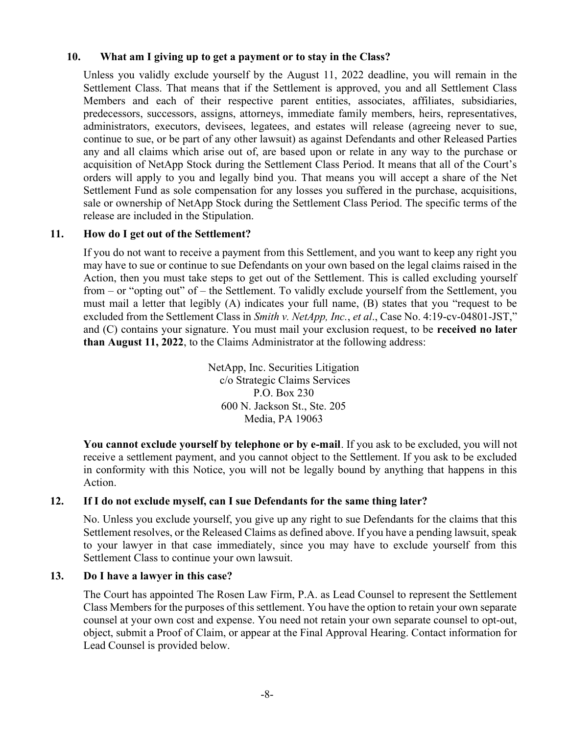## 10. What am I giving up to get a payment or to stay in the Class?

Unless you validly exclude yourself by the August 11, 2022 deadline, you will remain in the Settlement Class. That means that if the Settlement is approved, you and all Settlement Class Members and each of their respective parent entities, associates, affiliates, subsidiaries, predecessors, successors, assigns, attorneys, immediate family members, heirs, representatives, administrators, executors, devisees, legatees, and estates will release (agreeing never to sue, continue to sue, or be part of any other lawsuit) as against Defendants and other Released Parties any and all claims which arise out of, are based upon or relate in any way to the purchase or acquisition of NetApp Stock during the Settlement Class Period. It means that all of the Court's orders will apply to you and legally bind you. That means you will accept a share of the Net Settlement Fund as sole compensation for any losses you suffered in the purchase, acquisitions, sale or ownership of NetApp Stock during the Settlement Class Period. The specific terms of the release are included in the Stipulation.

### 11. How do I get out of the Settlement?

If you do not want to receive a payment from this Settlement, and you want to keep any right you may have to sue or continue to sue Defendants on your own based on the legal claims raised in the Action, then you must take steps to get out of the Settlement. This is called excluding yourself from – or "opting out" of – the Settlement. To validly exclude yourself from the Settlement, you must mail a letter that legibly (A) indicates your full name, (B) states that you "request to be excluded from the Settlement Class in Smith v. NetApp, Inc., et al., Case No. 4:19-cv-04801-JST," and (C) contains your signature. You must mail your exclusion request, to be **received no later** than August 11, 2022, to the Claims Administrator at the following address:

> NetApp, Inc. Securities Litigation c/o Strategic Claims Services P.O. Box 230 600 N. Jackson St., Ste. 205 Media, PA 19063

You cannot exclude yourself by telephone or by e-mail. If you ask to be excluded, you will not receive a settlement payment, and you cannot object to the Settlement. If you ask to be excluded in conformity with this Notice, you will not be legally bound by anything that happens in this Action.

#### 12. If I do not exclude myself, can I sue Defendants for the same thing later?

No. Unless you exclude yourself, you give up any right to sue Defendants for the claims that this Settlement resolves, or the Released Claims as defined above. If you have a pending lawsuit, speak to your lawyer in that case immediately, since you may have to exclude yourself from this Settlement Class to continue your own lawsuit.

#### 13. Do I have a lawyer in this case?

The Court has appointed The Rosen Law Firm, P.A. as Lead Counsel to represent the Settlement Class Members for the purposes of this settlement. You have the option to retain your own separate counsel at your own cost and expense. You need not retain your own separate counsel to opt-out, object, submit a Proof of Claim, or appear at the Final Approval Hearing. Contact information for Lead Counsel is provided below.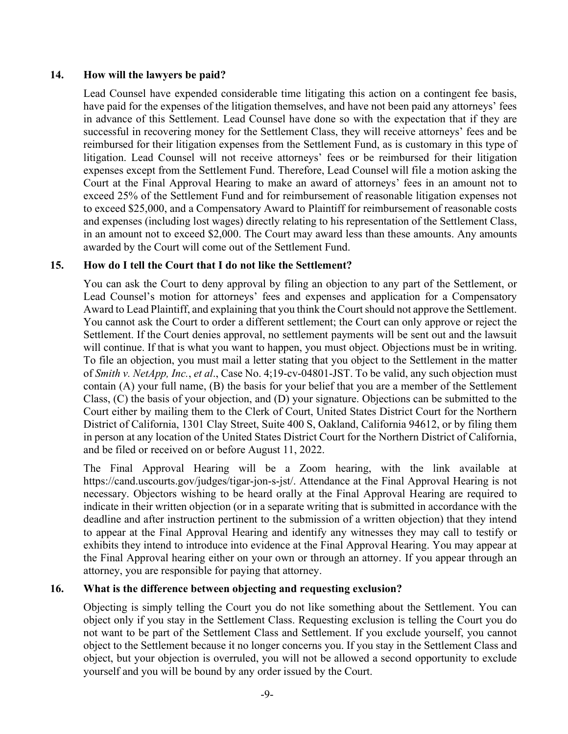### 14. How will the lawyers be paid?

Lead Counsel have expended considerable time litigating this action on a contingent fee basis, have paid for the expenses of the litigation themselves, and have not been paid any attorneys' fees in advance of this Settlement. Lead Counsel have done so with the expectation that if they are successful in recovering money for the Settlement Class, they will receive attorneys' fees and be reimbursed for their litigation expenses from the Settlement Fund, as is customary in this type of litigation. Lead Counsel will not receive attorneys' fees or be reimbursed for their litigation expenses except from the Settlement Fund. Therefore, Lead Counsel will file a motion asking the Court at the Final Approval Hearing to make an award of attorneys' fees in an amount not to exceed 25% of the Settlement Fund and for reimbursement of reasonable litigation expenses not to exceed \$25,000, and a Compensatory Award to Plaintiff for reimbursement of reasonable costs and expenses (including lost wages) directly relating to his representation of the Settlement Class, in an amount not to exceed \$2,000. The Court may award less than these amounts. Any amounts awarded by the Court will come out of the Settlement Fund.

## 15. How do I tell the Court that I do not like the Settlement?

You can ask the Court to deny approval by filing an objection to any part of the Settlement, or Lead Counsel's motion for attorneys' fees and expenses and application for a Compensatory Award to Lead Plaintiff, and explaining that you think the Court should not approve the Settlement. You cannot ask the Court to order a different settlement; the Court can only approve or reject the Settlement. If the Court denies approval, no settlement payments will be sent out and the lawsuit will continue. If that is what you want to happen, you must object. Objections must be in writing. To file an objection, you must mail a letter stating that you object to the Settlement in the matter of Smith v. NetApp, Inc., et al., Case No. 4;19-cv-04801-JST. To be valid, any such objection must contain (A) your full name, (B) the basis for your belief that you are a member of the Settlement Class, (C) the basis of your objection, and (D) your signature. Objections can be submitted to the Court either by mailing them to the Clerk of Court, United States District Court for the Northern District of California, 1301 Clay Street, Suite 400 S, Oakland, California 94612, or by filing them in person at any location of the United States District Court for the Northern District of California, and be filed or received on or before August 11, 2022.

The Final Approval Hearing will be a Zoom hearing, with the link available at https://cand.uscourts.gov/judges/tigar-jon-s-jst/. Attendance at the Final Approval Hearing is not necessary. Objectors wishing to be heard orally at the Final Approval Hearing are required to indicate in their written objection (or in a separate writing that is submitted in accordance with the deadline and after instruction pertinent to the submission of a written objection) that they intend to appear at the Final Approval Hearing and identify any witnesses they may call to testify or exhibits they intend to introduce into evidence at the Final Approval Hearing. You may appear at the Final Approval hearing either on your own or through an attorney. If you appear through an attorney, you are responsible for paying that attorney.

## 16. What is the difference between objecting and requesting exclusion?

Objecting is simply telling the Court you do not like something about the Settlement. You can object only if you stay in the Settlement Class. Requesting exclusion is telling the Court you do not want to be part of the Settlement Class and Settlement. If you exclude yourself, you cannot object to the Settlement because it no longer concerns you. If you stay in the Settlement Class and object, but your objection is overruled, you will not be allowed a second opportunity to exclude yourself and you will be bound by any order issued by the Court.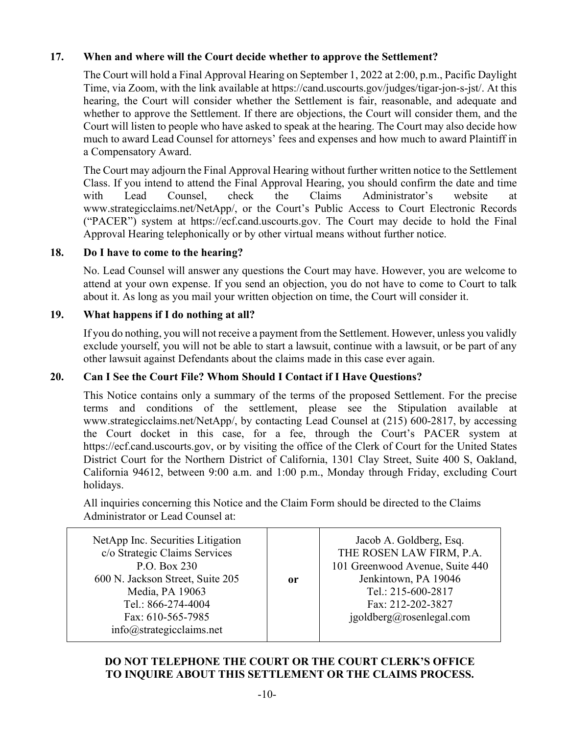# 17. When and where will the Court decide whether to approve the Settlement?

The Court will hold a Final Approval Hearing on September 1, 2022 at 2:00, p.m., Pacific Daylight Time, via Zoom, with the link available at https://cand.uscourts.gov/judges/tigar-jon-s-jst/. At this hearing, the Court will consider whether the Settlement is fair, reasonable, and adequate and whether to approve the Settlement. If there are objections, the Court will consider them, and the Court will listen to people who have asked to speak at the hearing. The Court may also decide how much to award Lead Counsel for attorneys' fees and expenses and how much to award Plaintiff in a Compensatory Award.

The Court may adjourn the Final Approval Hearing without further written notice to the Settlement Class. If you intend to attend the Final Approval Hearing, you should confirm the date and time with Lead Counsel, check the Claims Administrator's website at www.strategicclaims.net/NetApp/, or the Court's Public Access to Court Electronic Records ("PACER") system at https://ecf.cand.uscourts.gov. The Court may decide to hold the Final Approval Hearing telephonically or by other virtual means without further notice.

### 18. Do I have to come to the hearing?

No. Lead Counsel will answer any questions the Court may have. However, you are welcome to attend at your own expense. If you send an objection, you do not have to come to Court to talk about it. As long as you mail your written objection on time, the Court will consider it.

## 19. What happens if I do nothing at all?

If you do nothing, you will not receive a payment from the Settlement. However, unless you validly exclude yourself, you will not be able to start a lawsuit, continue with a lawsuit, or be part of any other lawsuit against Defendants about the claims made in this case ever again.

## 20. Can I See the Court File? Whom Should I Contact if I Have Questions?

This Notice contains only a summary of the terms of the proposed Settlement. For the precise terms and conditions of the settlement, please see the Stipulation available at www.strategicclaims.net/NetApp/, by contacting Lead Counsel at (215) 600-2817, by accessing the Court docket in this case, for a fee, through the Court's PACER system at https://ecf.cand.uscourts.gov, or by visiting the office of the Clerk of Court for the United States District Court for the Northern District of California, 1301 Clay Street, Suite 400 S, Oakland, California 94612, between 9:00 a.m. and 1:00 p.m., Monday through Friday, excluding Court holidays.

All inquiries concerning this Notice and the Claim Form should be directed to the Claims Administrator or Lead Counsel at:

| NetApp Inc. Securities Litigation<br>c/o Strategic Claims Services<br>P.O. Box 230<br>600 N. Jackson Street, Suite 205<br>Media, PA 19063<br>Tel.: 866-274-4004<br>Fax: 610-565-7985<br>info@strategicclaims.net | or | Jacob A. Goldberg, Esq.<br>THE ROSEN LAW FIRM, P.A.<br>101 Greenwood Avenue, Suite 440<br>Jenkintown, PA 19046<br>Tel.: 215-600-2817<br>Fax: 212-202-3827<br>igoldberg@rosenlegal.com |
|------------------------------------------------------------------------------------------------------------------------------------------------------------------------------------------------------------------|----|---------------------------------------------------------------------------------------------------------------------------------------------------------------------------------------|
|------------------------------------------------------------------------------------------------------------------------------------------------------------------------------------------------------------------|----|---------------------------------------------------------------------------------------------------------------------------------------------------------------------------------------|

## DO NOT TELEPHONE THE COURT OR THE COURT CLERK'S OFFICE TO INQUIRE ABOUT THIS SETTLEMENT OR THE CLAIMS PROCESS.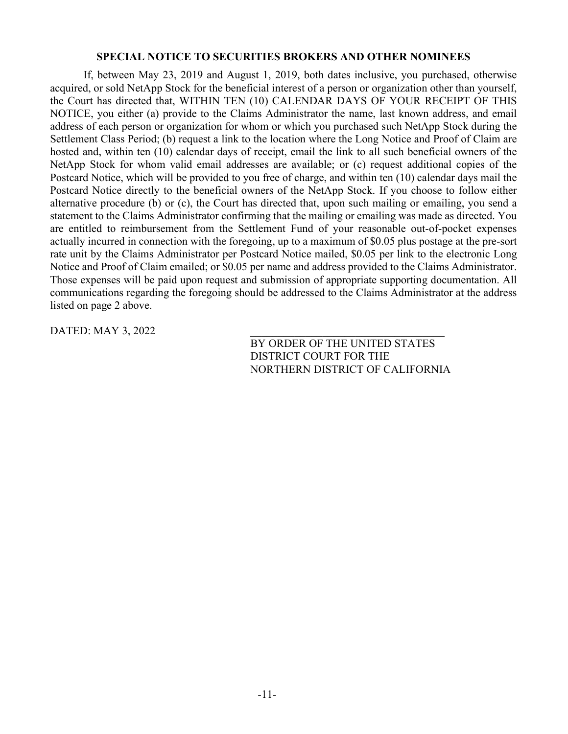#### SPECIAL NOTICE TO SECURITIES BROKERS AND OTHER NOMINEES

 If, between May 23, 2019 and August 1, 2019, both dates inclusive, you purchased, otherwise acquired, or sold NetApp Stock for the beneficial interest of a person or organization other than yourself, the Court has directed that, WITHIN TEN (10) CALENDAR DAYS OF YOUR RECEIPT OF THIS NOTICE, you either (a) provide to the Claims Administrator the name, last known address, and email address of each person or organization for whom or which you purchased such NetApp Stock during the Settlement Class Period; (b) request a link to the location where the Long Notice and Proof of Claim are hosted and, within ten (10) calendar days of receipt, email the link to all such beneficial owners of the NetApp Stock for whom valid email addresses are available; or (c) request additional copies of the Postcard Notice, which will be provided to you free of charge, and within ten (10) calendar days mail the Postcard Notice directly to the beneficial owners of the NetApp Stock. If you choose to follow either alternative procedure (b) or (c), the Court has directed that, upon such mailing or emailing, you send a statement to the Claims Administrator confirming that the mailing or emailing was made as directed. You are entitled to reimbursement from the Settlement Fund of your reasonable out-of-pocket expenses actually incurred in connection with the foregoing, up to a maximum of \$0.05 plus postage at the pre-sort rate unit by the Claims Administrator per Postcard Notice mailed, \$0.05 per link to the electronic Long Notice and Proof of Claim emailed; or \$0.05 per name and address provided to the Claims Administrator. Those expenses will be paid upon request and submission of appropriate supporting documentation. All communications regarding the foregoing should be addressed to the Claims Administrator at the address listed on page 2 above.

DATED: MAY 3, 2022

BY ORDER OF THE UNITED STATES DISTRICT COURT FOR THE NORTHERN DISTRICT OF CALIFORNIA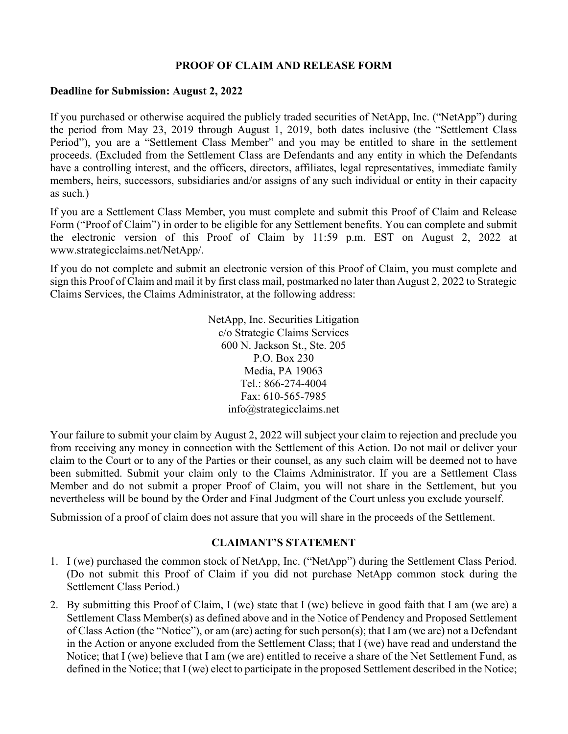### PROOF OF CLAIM AND RELEASE FORM

#### Deadline for Submission: August 2, 2022

If you purchased or otherwise acquired the publicly traded securities of NetApp, Inc. ("NetApp") during the period from May 23, 2019 through August 1, 2019, both dates inclusive (the "Settlement Class Period"), you are a "Settlement Class Member" and you may be entitled to share in the settlement proceeds. (Excluded from the Settlement Class are Defendants and any entity in which the Defendants have a controlling interest, and the officers, directors, affiliates, legal representatives, immediate family members, heirs, successors, subsidiaries and/or assigns of any such individual or entity in their capacity as such.)

If you are a Settlement Class Member, you must complete and submit this Proof of Claim and Release Form ("Proof of Claim") in order to be eligible for any Settlement benefits. You can complete and submit the electronic version of this Proof of Claim by 11:59 p.m. EST on August 2, 2022 at www.strategicclaims.net/NetApp/.

If you do not complete and submit an electronic version of this Proof of Claim, you must complete and sign this Proof of Claim and mail it by first class mail, postmarked no later than August 2, 2022 to Strategic Claims Services, the Claims Administrator, at the following address:

> NetApp, Inc. Securities Litigation c/o Strategic Claims Services 600 N. Jackson St., Ste. 205 P.O. Box 230 Media, PA 19063 Tel.: 866-274-4004 Fax: 610-565-7985 info@strategicclaims.net

Your failure to submit your claim by August 2, 2022 will subject your claim to rejection and preclude you from receiving any money in connection with the Settlement of this Action. Do not mail or deliver your claim to the Court or to any of the Parties or their counsel, as any such claim will be deemed not to have been submitted. Submit your claim only to the Claims Administrator. If you are a Settlement Class Member and do not submit a proper Proof of Claim, you will not share in the Settlement, but you nevertheless will be bound by the Order and Final Judgment of the Court unless you exclude yourself.

Submission of a proof of claim does not assure that you will share in the proceeds of the Settlement.

#### CLAIMANT'S STATEMENT

- 1. I (we) purchased the common stock of NetApp, Inc. ("NetApp") during the Settlement Class Period. (Do not submit this Proof of Claim if you did not purchase NetApp common stock during the Settlement Class Period.)
- 2. By submitting this Proof of Claim, I (we) state that I (we) believe in good faith that I am (we are) a Settlement Class Member(s) as defined above and in the Notice of Pendency and Proposed Settlement of Class Action (the "Notice"), or am (are) acting for such person(s); that I am (we are) not a Defendant in the Action or anyone excluded from the Settlement Class; that I (we) have read and understand the Notice; that I (we) believe that I am (we are) entitled to receive a share of the Net Settlement Fund, as defined in the Notice; that I (we) elect to participate in the proposed Settlement described in the Notice;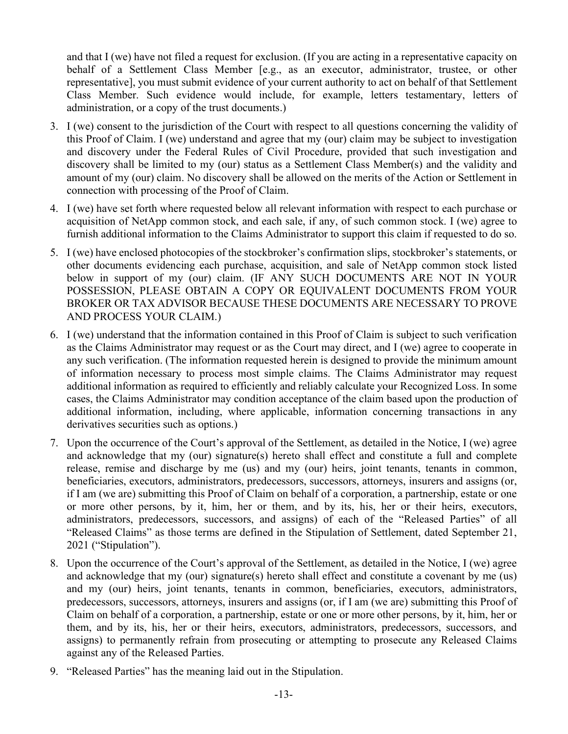and that I (we) have not filed a request for exclusion. (If you are acting in a representative capacity on behalf of a Settlement Class Member [e.g., as an executor, administrator, trustee, or other representative], you must submit evidence of your current authority to act on behalf of that Settlement Class Member. Such evidence would include, for example, letters testamentary, letters of administration, or a copy of the trust documents.)

- 3. I (we) consent to the jurisdiction of the Court with respect to all questions concerning the validity of this Proof of Claim. I (we) understand and agree that my (our) claim may be subject to investigation and discovery under the Federal Rules of Civil Procedure, provided that such investigation and discovery shall be limited to my (our) status as a Settlement Class Member(s) and the validity and amount of my (our) claim. No discovery shall be allowed on the merits of the Action or Settlement in connection with processing of the Proof of Claim.
- 4. I (we) have set forth where requested below all relevant information with respect to each purchase or acquisition of NetApp common stock, and each sale, if any, of such common stock. I (we) agree to furnish additional information to the Claims Administrator to support this claim if requested to do so.
- 5. I (we) have enclosed photocopies of the stockbroker's confirmation slips, stockbroker's statements, or other documents evidencing each purchase, acquisition, and sale of NetApp common stock listed below in support of my (our) claim. (IF ANY SUCH DOCUMENTS ARE NOT IN YOUR POSSESSION, PLEASE OBTAIN A COPY OR EQUIVALENT DOCUMENTS FROM YOUR BROKER OR TAX ADVISOR BECAUSE THESE DOCUMENTS ARE NECESSARY TO PROVE AND PROCESS YOUR CLAIM.)
- 6. I (we) understand that the information contained in this Proof of Claim is subject to such verification as the Claims Administrator may request or as the Court may direct, and I (we) agree to cooperate in any such verification. (The information requested herein is designed to provide the minimum amount of information necessary to process most simple claims. The Claims Administrator may request additional information as required to efficiently and reliably calculate your Recognized Loss. In some cases, the Claims Administrator may condition acceptance of the claim based upon the production of additional information, including, where applicable, information concerning transactions in any derivatives securities such as options.)
- 7. Upon the occurrence of the Court's approval of the Settlement, as detailed in the Notice, I (we) agree and acknowledge that my (our) signature(s) hereto shall effect and constitute a full and complete release, remise and discharge by me (us) and my (our) heirs, joint tenants, tenants in common, beneficiaries, executors, administrators, predecessors, successors, attorneys, insurers and assigns (or, if I am (we are) submitting this Proof of Claim on behalf of a corporation, a partnership, estate or one or more other persons, by it, him, her or them, and by its, his, her or their heirs, executors, administrators, predecessors, successors, and assigns) of each of the "Released Parties" of all "Released Claims" as those terms are defined in the Stipulation of Settlement, dated September 21, 2021 ("Stipulation").
- 8. Upon the occurrence of the Court's approval of the Settlement, as detailed in the Notice, I (we) agree and acknowledge that my (our) signature(s) hereto shall effect and constitute a covenant by me (us) and my (our) heirs, joint tenants, tenants in common, beneficiaries, executors, administrators, predecessors, successors, attorneys, insurers and assigns (or, if I am (we are) submitting this Proof of Claim on behalf of a corporation, a partnership, estate or one or more other persons, by it, him, her or them, and by its, his, her or their heirs, executors, administrators, predecessors, successors, and assigns) to permanently refrain from prosecuting or attempting to prosecute any Released Claims against any of the Released Parties.
- 9. "Released Parties" has the meaning laid out in the Stipulation.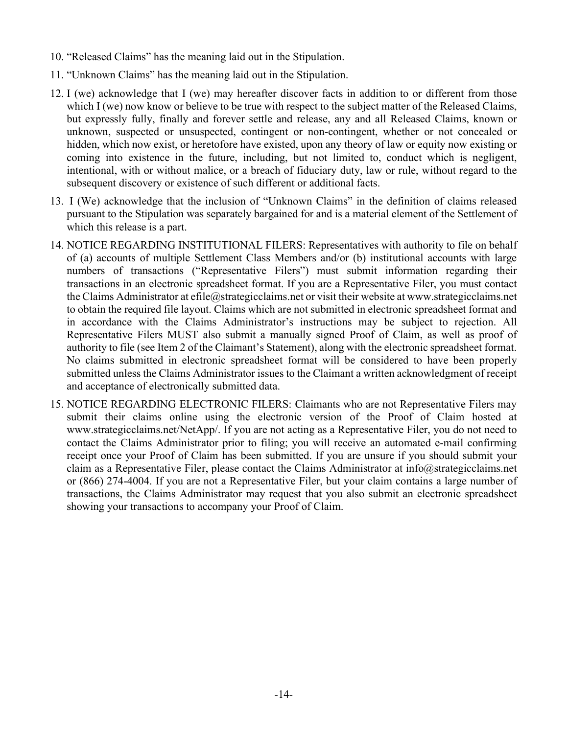- 10. "Released Claims" has the meaning laid out in the Stipulation.
- 11. "Unknown Claims" has the meaning laid out in the Stipulation.
- 12. I (we) acknowledge that I (we) may hereafter discover facts in addition to or different from those which I (we) now know or believe to be true with respect to the subject matter of the Released Claims, but expressly fully, finally and forever settle and release, any and all Released Claims, known or unknown, suspected or unsuspected, contingent or non-contingent, whether or not concealed or hidden, which now exist, or heretofore have existed, upon any theory of law or equity now existing or coming into existence in the future, including, but not limited to, conduct which is negligent, intentional, with or without malice, or a breach of fiduciary duty, law or rule, without regard to the subsequent discovery or existence of such different or additional facts.
- 13. I (We) acknowledge that the inclusion of "Unknown Claims" in the definition of claims released pursuant to the Stipulation was separately bargained for and is a material element of the Settlement of which this release is a part.
- 14. NOTICE REGARDING INSTITUTIONAL FILERS: Representatives with authority to file on behalf of (a) accounts of multiple Settlement Class Members and/or (b) institutional accounts with large numbers of transactions ("Representative Filers") must submit information regarding their transactions in an electronic spreadsheet format. If you are a Representative Filer, you must contact the Claims Administrator at efile@strategicclaims.net or visit their website at www.strategicclaims.net to obtain the required file layout. Claims which are not submitted in electronic spreadsheet format and in accordance with the Claims Administrator's instructions may be subject to rejection. All Representative Filers MUST also submit a manually signed Proof of Claim, as well as proof of authority to file (see Item 2 of the Claimant's Statement), along with the electronic spreadsheet format. No claims submitted in electronic spreadsheet format will be considered to have been properly submitted unless the Claims Administrator issues to the Claimant a written acknowledgment of receipt and acceptance of electronically submitted data.
- 15. NOTICE REGARDING ELECTRONIC FILERS: Claimants who are not Representative Filers may submit their claims online using the electronic version of the Proof of Claim hosted at www.strategicclaims.net/NetApp/. If you are not acting as a Representative Filer, you do not need to contact the Claims Administrator prior to filing; you will receive an automated e-mail confirming receipt once your Proof of Claim has been submitted. If you are unsure if you should submit your claim as a Representative Filer, please contact the Claims Administrator at info@strategicclaims.net or (866) 274-4004. If you are not a Representative Filer, but your claim contains a large number of transactions, the Claims Administrator may request that you also submit an electronic spreadsheet showing your transactions to accompany your Proof of Claim.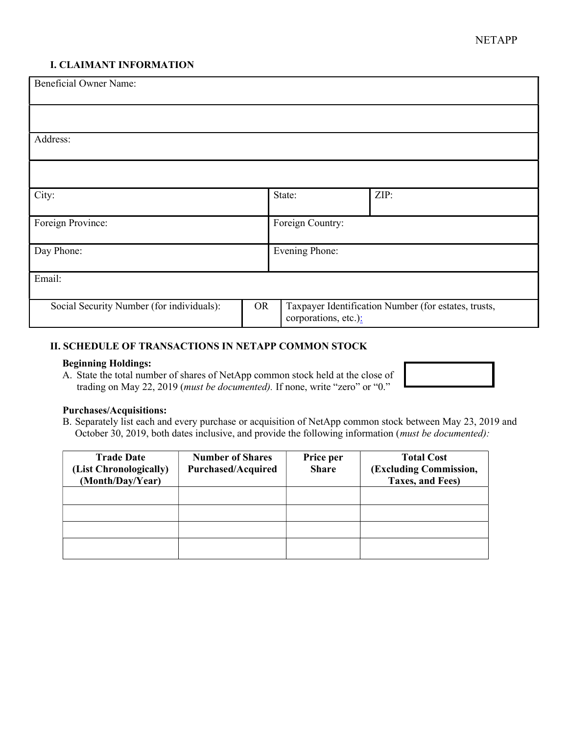#### I. CLAIMANT INFORMATION

| <b>Beneficial Owner Name:</b>             |           |                       |                                                      |  |
|-------------------------------------------|-----------|-----------------------|------------------------------------------------------|--|
|                                           |           |                       |                                                      |  |
| Address:                                  |           |                       |                                                      |  |
|                                           |           |                       |                                                      |  |
| City:                                     |           | State:                | ZIP:                                                 |  |
| Foreign Province:                         |           | Foreign Country:      |                                                      |  |
| Day Phone:                                |           | <b>Evening Phone:</b> |                                                      |  |
| Email:                                    |           |                       |                                                      |  |
| Social Security Number (for individuals): | <b>OR</b> | corporations, etc.):  | Taxpayer Identification Number (for estates, trusts, |  |

#### II. SCHEDULE OF TRANSACTIONS IN NETAPP COMMON STOCK

#### Beginning Holdings:

A. State the total number of shares of NetApp common stock held at the close of trading on May 22, 2019 (must be documented). If none, write "zero" or "0."



#### Purchases/Acquisitions:

B. Separately list each and every purchase or acquisition of NetApp common stock between May 23, 2019 and October 30, 2019, both dates inclusive, and provide the following information (must be documented):

| <b>Trade Date</b><br>(List Chronologically)<br>(Month/Day/Year) | <b>Number of Shares</b><br><b>Purchased/Acquired</b> | Price per<br><b>Share</b> | <b>Total Cost</b><br>(Excluding Commission,<br>Taxes, and Fees) |
|-----------------------------------------------------------------|------------------------------------------------------|---------------------------|-----------------------------------------------------------------|
|                                                                 |                                                      |                           |                                                                 |
|                                                                 |                                                      |                           |                                                                 |
|                                                                 |                                                      |                           |                                                                 |
|                                                                 |                                                      |                           |                                                                 |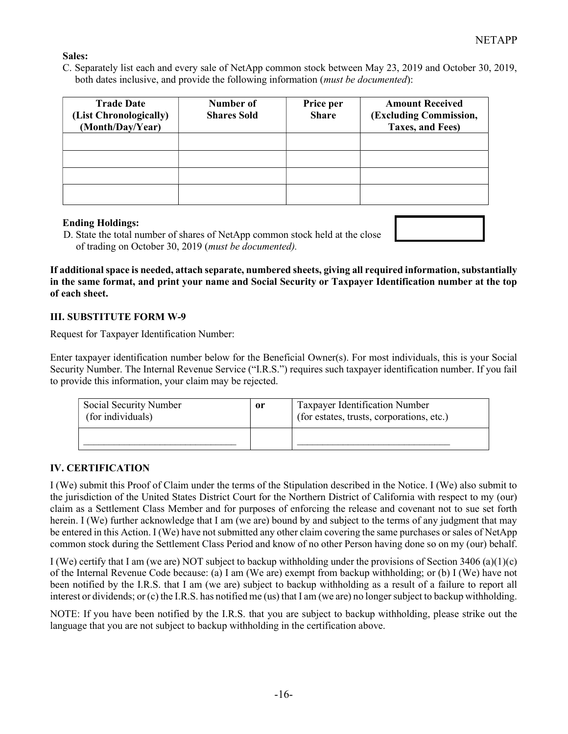#### Sales:

C. Separately list each and every sale of NetApp common stock between May 23, 2019 and October 30, 2019, both dates inclusive, and provide the following information (*must be documented*):

| <b>Trade Date</b><br>(List Chronologically)<br>(Month/Day/Year) | Number of<br><b>Shares Sold</b> | Price per<br><b>Share</b> | <b>Amount Received</b><br>(Excluding Commission,<br>Taxes, and Fees) |
|-----------------------------------------------------------------|---------------------------------|---------------------------|----------------------------------------------------------------------|
|                                                                 |                                 |                           |                                                                      |
|                                                                 |                                 |                           |                                                                      |
|                                                                 |                                 |                           |                                                                      |
|                                                                 |                                 |                           |                                                                      |

#### Ending Holdings:

D. State the total number of shares of NetApp common stock held at the close of trading on October 30, 2019 (must be documented).

If additional space is needed, attach separate, numbered sheets, giving all required information, substantially in the same format, and print your name and Social Security or Taxpayer Identification number at the top of each sheet.

#### III. SUBSTITUTE FORM W-9

Request for Taxpayer Identification Number:

Enter taxpayer identification number below for the Beneficial Owner(s). For most individuals, this is your Social Security Number. The Internal Revenue Service ("I.R.S.") requires such taxpayer identification number. If you fail to provide this information, your claim may be rejected.

| Social Security Number<br>(for individuals) | or | Taxpayer Identification Number<br>(for estates, trusts, corporations, etc.) |
|---------------------------------------------|----|-----------------------------------------------------------------------------|
|                                             |    |                                                                             |

#### IV. CERTIFICATION

I (We) submit this Proof of Claim under the terms of the Stipulation described in the Notice. I (We) also submit to the jurisdiction of the United States District Court for the Northern District of California with respect to my (our) claim as a Settlement Class Member and for purposes of enforcing the release and covenant not to sue set forth herein. I (We) further acknowledge that I am (we are) bound by and subject to the terms of any judgment that may be entered in this Action. I (We) have not submitted any other claim covering the same purchases or sales of NetApp common stock during the Settlement Class Period and know of no other Person having done so on my (our) behalf.

I (We) certify that I am (we are) NOT subject to backup withholding under the provisions of Section 3406 (a)(1)(c) of the Internal Revenue Code because: (a) I am (We are) exempt from backup withholding; or (b) I (We) have not been notified by the I.R.S. that I am (we are) subject to backup withholding as a result of a failure to report all interest or dividends; or (c) the I.R.S. has notified me (us) that I am (we are) no longer subject to backup withholding.

NOTE: If you have been notified by the I.R.S. that you are subject to backup withholding, please strike out the language that you are not subject to backup withholding in the certification above.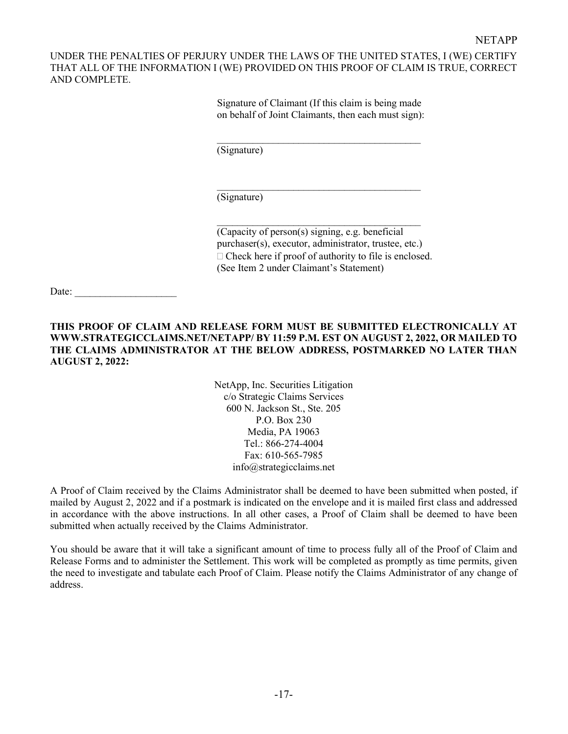UNDER THE PENALTIES OF PERJURY UNDER THE LAWS OF THE UNITED STATES, I (WE) CERTIFY THAT ALL OF THE INFORMATION I (WE) PROVIDED ON THIS PROOF OF CLAIM IS TRUE, CORRECT AND COMPLETE.

> Signature of Claimant (If this claim is being made on behalf of Joint Claimants, then each must sign):

 $\mathcal{L}_\text{max}$  , where  $\mathcal{L}_\text{max}$  and  $\mathcal{L}_\text{max}$  and  $\mathcal{L}_\text{max}$ 

 $\mathcal{L}_\text{max}$ 

 $\mathcal{L}_\text{max}$ 

(Signature)

(Signature)

(Capacity of person(s) signing, e.g. beneficial purchaser(s), executor, administrator, trustee, etc.)  $\Box$  Check here if proof of authority to file is enclosed. (See Item 2 under Claimant's Statement)

Date:

THIS PROOF OF CLAIM AND RELEASE FORM MUST BE SUBMITTED ELECTRONICALLY AT WWW.STRATEGICCLAIMS.NET/NETAPP/ BY 11:59 P.M. EST ON AUGUST 2, 2022, OR MAILED TO THE CLAIMS ADMINISTRATOR AT THE BELOW ADDRESS, POSTMARKED NO LATER THAN AUGUST 2, 2022:

> NetApp, Inc. Securities Litigation c/o Strategic Claims Services 600 N. Jackson St., Ste. 205 P.O. Box 230 Media, PA 19063 Tel.: 866-274-4004 Fax: 610-565-7985 info@strategicclaims.net

A Proof of Claim received by the Claims Administrator shall be deemed to have been submitted when posted, if mailed by August 2, 2022 and if a postmark is indicated on the envelope and it is mailed first class and addressed in accordance with the above instructions. In all other cases, a Proof of Claim shall be deemed to have been submitted when actually received by the Claims Administrator.

You should be aware that it will take a significant amount of time to process fully all of the Proof of Claim and Release Forms and to administer the Settlement. This work will be completed as promptly as time permits, given the need to investigate and tabulate each Proof of Claim. Please notify the Claims Administrator of any change of address.